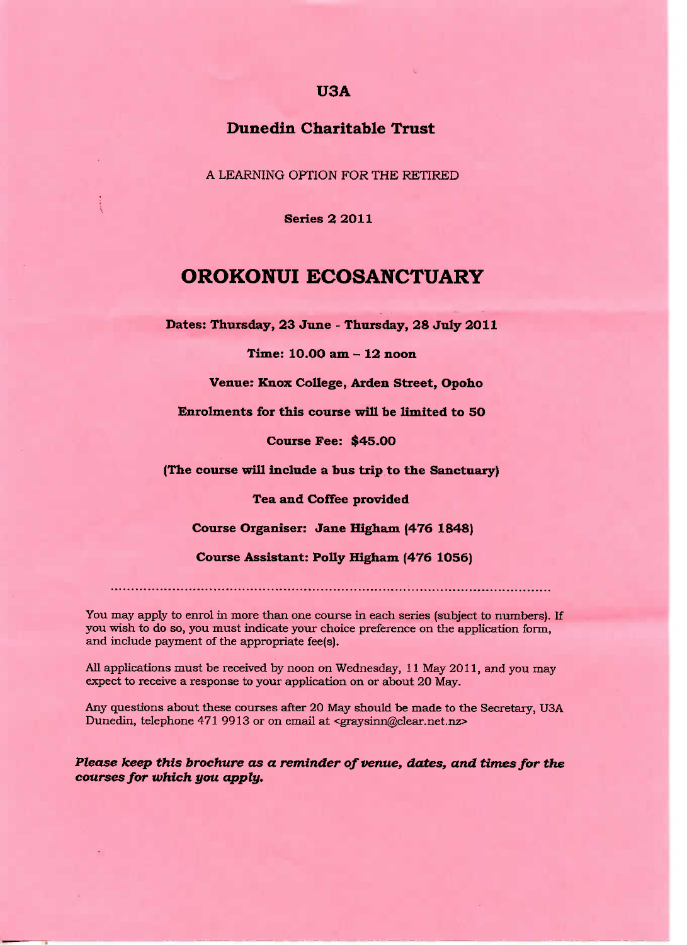### **USA**

### **Dunedin Charitable Trust**

A LEARNING OPTION FOR THE RETIRED

**Series 2 2011**

## **OROKONUI ECOSANCTUARY**

**Dates:** Thursday, **23 June - Thursday, 28 July 2O11**

**Time: 1O.OO am** *-* **12 noon**

**Venue: Knox College, Arden Street, Opoho**

Enrolments **for this course will be limited to 50**

**Course Fee:** \$45.00

**(The course will include a bus trip to the Sanctuary)**

**Tea and Coffee provided**

**Course Organiser: Jane Higham (476 1848)**

**Course Assistant: Polly Higham (476 1056)**

You may apply to enrol in more than one course in each series (subject to numbers). If you wish to do so, you must indicate your choice preference on the application form, and include payment of the appropriate fee(s).

All applications must be received by noon on Wednesday, 11 May 2011, and you may expect to receive a response to your application on or about 20 May.

Any questions about these courses after 20 May should be made to the Secretary, USA Dunedin, telephone 471 9913 or on email at <graysinn@clear.net.nz>

*Please keep this brochure as a reminder of venue, dates, and times for the courses for which you apply.*